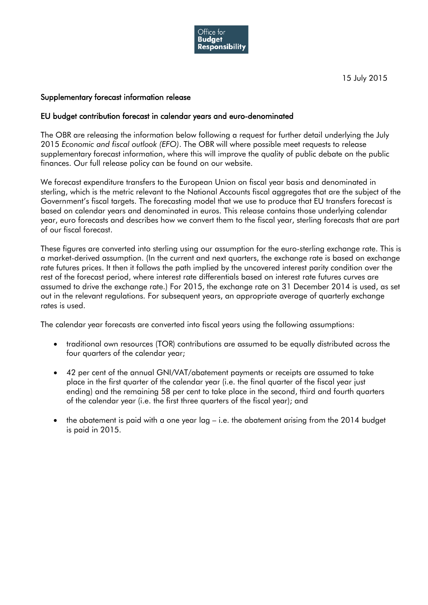

15 July 2015

## Supplementary forecast information release

## EU budget contribution forecast in calendar years and euro-denominated

The OBR are releasing the information below following a request for further detail underlying the July 2015 *Economic and fiscal outlook (EFO)*. The OBR will where possible meet requests to release supplementary forecast information, where this will improve the quality of public debate on the public finances. Our full release policy can be found on our website.

We forecast expenditure transfers to the European Union on fiscal year basis and denominated in sterling, which is the metric relevant to the National Accounts fiscal aggregates that are the subject of the Government's fiscal targets. The forecasting model that we use to produce that EU transfers forecast is based on calendar years and denominated in euros. This release contains those underlying calendar year, euro forecasts and describes how we convert them to the fiscal year, sterling forecasts that are part of our fiscal forecast.

These figures are converted into sterling using our assumption for the euro-sterling exchange rate. This is a market-derived assumption. (In the current and next quarters, the exchange rate is based on exchange rate futures prices. It then it follows the path implied by the uncovered interest parity condition over the rest of the forecast period, where interest rate differentials based on interest rate futures curves are assumed to drive the exchange rate.) For 2015, the exchange rate on 31 December 2014 is used, as set out in the relevant regulations. For subsequent years, an appropriate average of quarterly exchange rates is used.

The calendar year forecasts are converted into fiscal years using the following assumptions:

- traditional own resources (TOR) contributions are assumed to be equally distributed across the four quarters of the calendar year;
- 42 per cent of the annual GNI/VAT/abatement payments or receipts are assumed to take place in the first quarter of the calendar year (i.e. the final quarter of the fiscal year just ending) and the remaining 58 per cent to take place in the second, third and fourth quarters of the calendar year (i.e. the first three quarters of the fiscal year); and
- the abatement is paid with a one year lag i.e. the abatement arising from the 2014 budget is paid in 2015.